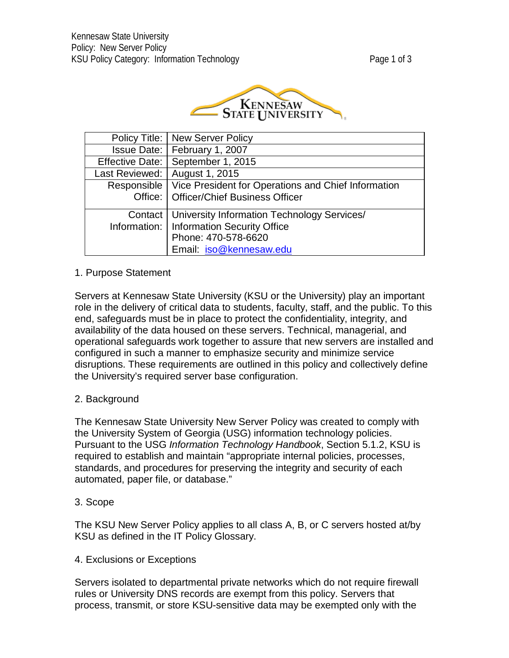

| Policy Title:   New Server Policy                                 |
|-------------------------------------------------------------------|
| Issue Date:   February 1, 2007                                    |
| Effective Date:   September 1, 2015                               |
| Last Reviewed:   August 1, 2015                                   |
| Responsible   Vice President for Operations and Chief Information |
| Office:   Officer/Chief Business Officer                          |
| Contact   University Information Technology Services/             |
| Information:   Information Security Office                        |
| Phone: 470-578-6620                                               |
| Email: iso@kennesaw.edu                                           |

# 1. Purpose Statement

Servers at Kennesaw State University (KSU or the University) play an important role in the delivery of critical data to students, faculty, staff, and the public. To this end, safeguards must be in place to protect the confidentiality, integrity, and availability of the data housed on these servers. Technical, managerial, and operational safeguards work together to assure that new servers are installed and configured in such a manner to emphasize security and minimize service disruptions. These requirements are outlined in this policy and collectively define the University's required server base configuration.

### 2. Background

The Kennesaw State University New Server Policy was created to comply with the University System of Georgia (USG) information technology policies. Pursuant to the USG *Information Technology Handbook*, Section 5.1.2, KSU is required to establish and maintain "appropriate internal policies, processes, standards, and procedures for preserving the integrity and security of each automated, paper file, or database."

### 3. Scope

The KSU New Server Policy applies to all class A, B, or C servers hosted at/by KSU as defined in the IT Policy Glossary.

### 4. Exclusions or Exceptions

Servers isolated to departmental private networks which do not require firewall rules or University DNS records are exempt from this policy. Servers that process, transmit, or store KSU-sensitive data may be exempted only with the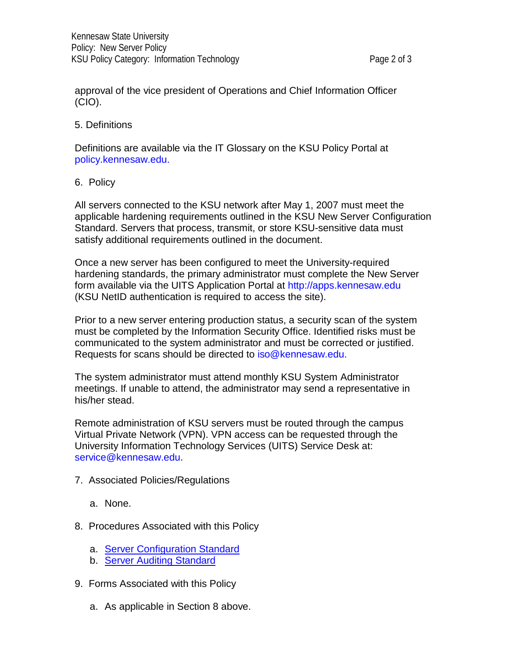approval of the vice president of Operations and Chief Information Officer (CIO).

### 5. Definitions

Definitions are available via the IT Glossary on the KSU Policy Portal at [policy.kennesaw.edu.](https://policy.kennesaw.edu/)

# 6. Policy

All servers connected to the KSU network after May 1, 2007 must meet the applicable hardening requirements outlined in the KSU New Server Configuration Standard. Servers that process, transmit, or store KSU-sensitive data must satisfy additional requirements outlined in the document.

Once a new server has been configured to meet the University-required hardening standards, the primary administrator must complete the New Server form available via the UITS Application Portal at [http://apps.kennesaw.edu](http://apps.kennesaw.edu/) (KSU NetID authentication is required to access the site).

Prior to a new server entering production status, a security scan of the system must be completed by the Information Security Office. Identified risks must be communicated to the system administrator and must be corrected or justified. Requests for scans should be directed to  $iso@$  kennesaw.edu.

The system administrator must attend monthly KSU System Administrator meetings. If unable to attend, the administrator may send a representative in his/her stead.

Remote administration of KSU servers must be routed through the campus Virtual Private Network (VPN). VPN access can be requested through the University Information Technology Services (UITS) Service Desk at: [service@kennesaw.edu.](mailto:itssd@kennesaw.edu)

- 7. Associated Policies/Regulations
	- a. None.
- 8. Procedures Associated with this Policy
	- a. [Server Configuration Standard](http://uits.kennesaw.edu/infosec/directory.php)
	- b. Server Auditing [Standard](http://uits.kennesaw.edu/infosec/directory.php)
- 9. Forms Associated with this Policy
	- a. As applicable in Section 8 above.